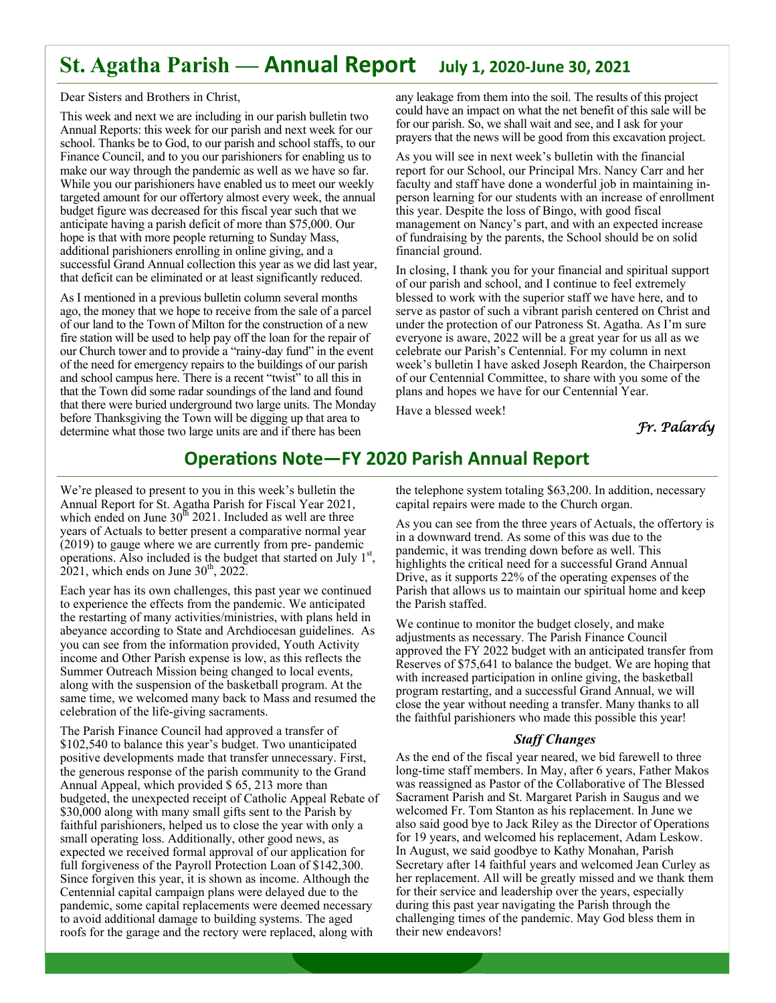# **St. Agatha Parish — Annual Report July 1, 2020-June 30, 2021**

Dear Sisters and Brothers in Christ,

This week and next we are including in our parish bulletin two Annual Reports: this week for our parish and next week for our school. Thanks be to God, to our parish and school staffs, to our Finance Council, and to you our parishioners for enabling us to make our way through the pandemic as well as we have so far. While you our parishioners have enabled us to meet our weekly targeted amount for our offertory almost every week, the annual budget figure was decreased for this fiscal year such that we anticipate having a parish deficit of more than \$75,000. Our hope is that with more people returning to Sunday Mass, additional parishioners enrolling in online giving, and a successful Grand Annual collection this year as we did last year, that deficit can be eliminated or at least significantly reduced.

As I mentioned in a previous bulletin column several months ago, the money that we hope to receive from the sale of a parcel of our land to the Town of Milton for the construction of a new fire station will be used to help pay off the loan for the repair of our Church tower and to provide a "rainy-day fund" in the event of the need for emergency repairs to the buildings of our parish and school campus here. There is a recent "twist" to all this in that the Town did some radar soundings of the land and found that there were buried underground two large units. The Monday before Thanksgiving the Town will be digging up that area to determine what those two large units are and if there has been

any leakage from them into the soil. The results of this project could have an impact on what the net benefit of this sale will be for our parish. So, we shall wait and see, and I ask for your prayers that the news will be good from this excavation project.

As you will see in next week's bulletin with the financial report for our School, our Principal Mrs. Nancy Carr and her faculty and staff have done a wonderful job in maintaining inperson learning for our students with an increase of enrollment this year. Despite the loss of Bingo, with good fiscal management on Nancy's part, and with an expected increase of fundraising by the parents, the School should be on solid financial ground.

In closing, I thank you for your financial and spiritual support of our parish and school, and I continue to feel extremely blessed to work with the superior staff we have here, and to serve as pastor of such a vibrant parish centered on Christ and under the protection of our Patroness St. Agatha. As I'm sure everyone is aware, 2022 will be a great year for us all as we celebrate our Parish's Centennial. For my column in next week's bulletin I have asked Joseph Reardon, the Chairperson of our Centennial Committee, to share with you some of the plans and hopes we have for our Centennial Year.

Have a blessed week!

*Fr. Palardy*

# **OperaƟons Note—FY 2020 Parish Annual Report**

We're pleased to present to you in this week's bulletin the Annual Report for St. Agatha Parish for Fiscal Year 2021, which ended on June  $30<sup>th</sup> 2021$ . Included as well are three years of Actuals to better present a comparative normal year (2019) to gauge where we are currently from pre- pandemic operations. Also included is the budget that started on July  $1<sup>st</sup>$ ,  $2021$ , which ends on June  $30<sup>th</sup>$ , 2022.

Each year has its own challenges, this past year we continued to experience the effects from the pandemic. We anticipated the restarting of many activities/ministries, with plans held in abeyance according to State and Archdiocesan guidelines. As you can see from the information provided, Youth Activity income and Other Parish expense is low, as this reflects the Summer Outreach Mission being changed to local events, along with the suspension of the basketball program. At the same time, we welcomed many back to Mass and resumed the celebration of the life-giving sacraments.

The Parish Finance Council had approved a transfer of \$102,540 to balance this year's budget. Two unanticipated positive developments made that transfer unnecessary. First, the generous response of the parish community to the Grand Annual Appeal, which provided \$ 65, 213 more than budgeted, the unexpected receipt of Catholic Appeal Rebate of \$30,000 along with many small gifts sent to the Parish by faithful parishioners, helped us to close the year with only a small operating loss. Additionally, other good news, as expected we received formal approval of our application for full forgiveness of the Payroll Protection Loan of \$142,300. Since forgiven this year, it is shown as income. Although the Centennial capital campaign plans were delayed due to the pandemic, some capital replacements were deemed necessary to avoid additional damage to building systems. The aged roofs for the garage and the rectory were replaced, along with

the telephone system totaling \$63,200. In addition, necessary capital repairs were made to the Church organ.

As you can see from the three years of Actuals, the offertory is in a downward trend. As some of this was due to the pandemic, it was trending down before as well. This highlights the critical need for a successful Grand Annual Drive, as it supports 22% of the operating expenses of the Parish that allows us to maintain our spiritual home and keep the Parish staffed.

We continue to monitor the budget closely, and make adjustments as necessary. The Parish Finance Council approved the FY 2022 budget with an anticipated transfer from Reserves of \$75,641 to balance the budget. We are hoping that with increased participation in online giving, the basketball program restarting, and a successful Grand Annual, we will close the year without needing a transfer. Many thanks to all the faithful parishioners who made this possible this year!

### *Staff Changes*

As the end of the fiscal year neared, we bid farewell to three long-time staff members. In May, after 6 years, Father Makos was reassigned as Pastor of the Collaborative of The Blessed Sacrament Parish and St. Margaret Parish in Saugus and we welcomed Fr. Tom Stanton as his replacement. In June we also said good bye to Jack Riley as the Director of Operations for 19 years, and welcomed his replacement, Adam Leskow. In August, we said goodbye to Kathy Monahan, Parish Secretary after 14 faithful years and welcomed Jean Curley as her replacement. All will be greatly missed and we thank them for their service and leadership over the years, especially during this past year navigating the Parish through the challenging times of the pandemic. May God bless them in their new endeavors!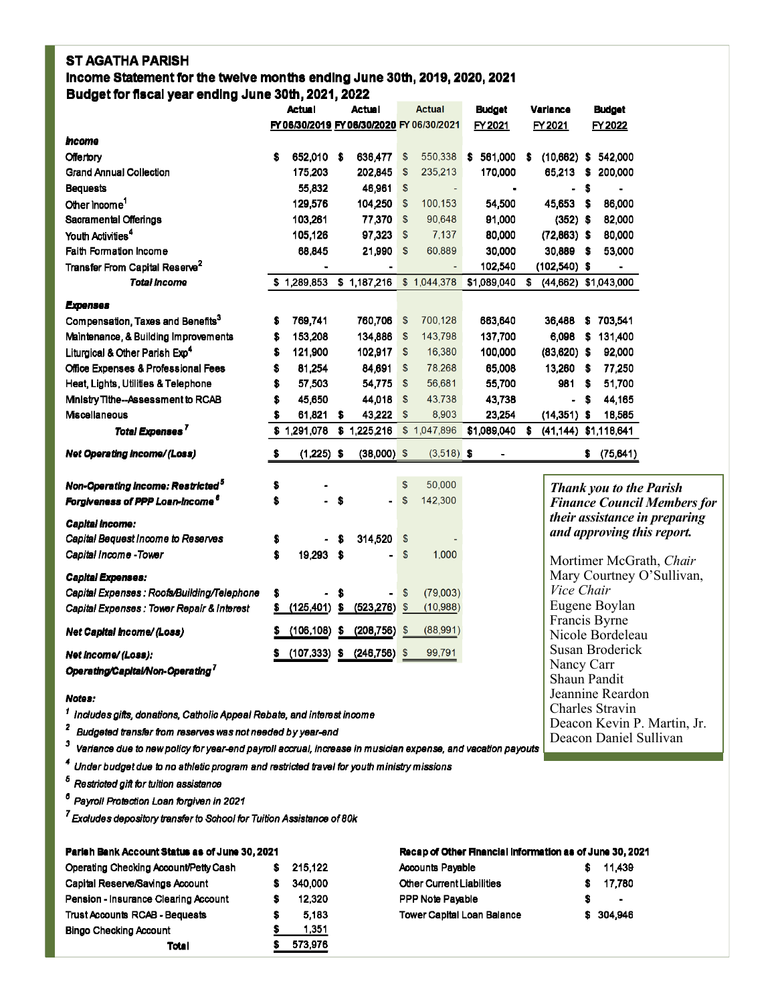## **ST AGATHA PARISH**

Income Statement for the twelve months ending June 30th, 2019, 2020, 2021 Budget for fiscal year ending June 30th, 2021, 2022

|                                               | <b>Actual</b><br>Actual |                                           | <b>Actual</b> |                 |                           | <b>Budget</b> |   | Variance       |    | <b>Budget</b>        |     |                                |                                    |
|-----------------------------------------------|-------------------------|-------------------------------------------|---------------|-----------------|---------------------------|---------------|---|----------------|----|----------------------|-----|--------------------------------|------------------------------------|
|                                               |                         | FY 06/30/2019 FY 06/30/2020 FY 06/30/2021 |               |                 |                           |               |   | FY 2021        |    | FY 2021              |     | FY 2022                        |                                    |
| mcome                                         |                         |                                           |               |                 |                           |               |   |                |    |                      |     |                                |                                    |
| Offertory                                     | s                       | 652,010                                   | - \$          | 636,477         | \$                        | 550,338       | s | 561,000        | s  | $(10,662)$ \$        |     | 542,000                        |                                    |
| Grand Annual Collection                       |                         | 175.203                                   |               | 202,845         | \$                        | 235,213       |   | 170,000        |    | 65.213               | s   | 200.000                        |                                    |
| <b>Bequests</b>                               |                         | 55,832                                    |               | 46,961 \$       |                           |               |   | $\blacksquare$ |    | $\blacksquare$       | \$  | $\blacksquare$                 |                                    |
| Other Income <sup>1</sup>                     |                         | 129,576                                   |               | 104,250         | $\$\$                     | 100,153       |   | 54,500         |    | 45,653 \$            |     | 86,000                         |                                    |
| Sacramental Offerings                         |                         | 103,261                                   |               | 77,370 \$       |                           | 90,648        |   | 91,000         |    | $(352)$ \$           |     | 82,000                         |                                    |
| Youth Activities <sup>4</sup>                 |                         | 105,126                                   |               | 97,323          | $\mathsf{\$}$             | 7,137         |   | 80,000         |    | $(72,863)$ \$        |     | 80,000                         |                                    |
| <b>Faith Formation Income</b>                 |                         | 68,845                                    |               | 21,990          | $\boldsymbol{\mathsf{s}}$ | 60,889        |   | 30,000         |    | 30,889 \$            |     | 53,000                         |                                    |
| Transfer From Capital Reserve <sup>2</sup>    |                         |                                           |               | ۰               |                           |               |   | 102,540        |    | $(102,540)$ \$       |     | $\blacksquare$                 |                                    |
| <b>Total Income</b>                           |                         | \$1,289,853                               |               | \$1,187,216     |                           | \$1,044,378   |   | \$1,089,040    | \$ |                      |     | (44,662) \$1,043,000           |                                    |
| <b>Expenses</b>                               |                         |                                           |               |                 |                           |               |   |                |    |                      |     |                                |                                    |
| Compensation, Taxes and Benefits <sup>3</sup> | s                       | 769,741                                   |               | 760,706 \$      |                           | 700,128       |   | 663,640        |    | 36,488               |     | \$703,541                      |                                    |
| Maintenance, & Building Improvements          | s                       | 153,208                                   |               | 134,886         | $\$\$                     | 143,798       |   | 137,700        |    | 6,098                | s   | 131,400                        |                                    |
| Liturgical & Other Parish Exp <sup>4</sup>    | s                       | 121,900                                   |               | 102,917         | $\$\$                     | 16,380        |   | 100,000        |    | $(83,620)$ \$        |     | 92,000                         |                                    |
| Office Expenses & Professional Fees           | s                       | 81,254                                    |               | 84,691          | $\mathfrak{s}$            | 78,268        |   | 65,008         |    | 13,260 \$            |     | 77,250                         |                                    |
| Heat, Lights, Utilities & Telephone           | s                       | 57,503                                    |               | 54,775          | $\$\$                     | 56,681        |   | 55,700         |    | 981                  | S   | 51,700                         |                                    |
| Mnistry Tithe--Assessment to RCAB             | s                       | 45,650                                    |               | 44,018          | $$\mathbb{S}$$            | 43,738        |   | 43,738         |    |                      | - S | 44,165                         |                                    |
| Miscellaneous                                 | \$                      | 61,821                                    | s             | 43,222          | $\mathsf{\$}$             | 8,903         |   | 23,254         |    | $(14,351)$ \$        |     | 18,585                         |                                    |
| Total Expenses <sup>7</sup>                   |                         | \$1,291,078                               |               | \$1,225,216     |                           | \$1,047,896   |   | \$1,089,040    | s  | (41,144) \$1,118,641 |     |                                |                                    |
| Net Operating Income/(Loss)                   | \$                      | $(1,225)$ \$                              |               | $(38,000)$ \$   |                           | $(3,518)$ \$  |   |                |    |                      |     | \$ (75,641)                    |                                    |
| Non-Operating Income: Restricted <sup>5</sup> | s                       |                                           |               |                 | $\$\$                     | 50,000        |   |                |    |                      |     | <b>Thank you to the Parish</b> |                                    |
| Forgiveness of PPP Loan-Income <sup>6</sup>   | S                       |                                           | S             |                 | $\mathsf{\$}$             | 142,300       |   |                |    |                      |     |                                | <b>Finance Council Members for</b> |
|                                               |                         |                                           |               |                 |                           |               |   |                |    |                      |     |                                | their assistance in preparing      |
| Capital income:                               |                         |                                           |               |                 |                           |               |   |                |    |                      |     |                                | and approving this report.         |
| Capital Bequest Income to Reserves            | s                       |                                           | S             | 314,520         | $\$\$                     |               |   |                |    |                      |     |                                |                                    |
| Capital Income - Tower                        | S                       | 19,293                                    | -S            |                 | $\mathbf{\$}$             | 1,000         |   |                |    |                      |     |                                | Mortimer McGrath, Chair            |
| <b>Capital Expenses:</b>                      |                         |                                           |               |                 |                           |               |   |                |    |                      |     |                                | Mary Courtney O'Sullivan,          |
| Capital Expenses : Roofs/Building/Telephone   | \$                      |                                           | S             | $\blacksquare$  | $\$\$                     | (79,003)      |   |                |    | Vice Chair           |     |                                |                                    |
| Capital Expenses: Tower Repair & Interest     | s                       | (125, 401)                                | S             | (523, 276)      | \$                        | (10, 988)     |   |                |    |                      |     | Eugene Boylan                  |                                    |
|                                               | s                       | (106, 108)                                |               |                 |                           | (88,991)      |   |                |    |                      |     | Francis Byrne                  |                                    |
| Net Capital Income/(Loss)                     |                         |                                           | $\mathbf{s}$  | (208, 756)      | \$                        |               |   |                |    |                      |     | Nicole Bordeleau               |                                    |
| Net income/ (Loss):                           | Ş.                      | (107,333)                                 | s             | $(246, 756)$ \$ |                           | 99,791        |   |                |    |                      |     | Susan Broderick                |                                    |
| Operating/Capital/Non-Operating <sup>7</sup>  |                         |                                           |               |                 |                           |               |   |                |    | Nancy Carr           |     |                                |                                    |
|                                               |                         |                                           |               |                 |                           |               |   |                |    |                      |     | Shaun Pandit                   |                                    |
| <b>Alatans</b>                                |                         |                                           |               |                 |                           |               |   |                |    |                      |     | Jeannine Reardon               |                                    |

### Notes:

<sup>1</sup> Includes gifts, donations, Catholic Appeal Rebate, and interest income

<sup>2</sup> Budgeted transfer from reserves was not needed by year-end

3 Variance due to new policy for year-end payroll accrual, increase in musician expense, and vacation payouts

4 Under budget due to no athletic program and restricted travel for youth ministry missions

 $^{\rm 5}$  Restricted gift for tuition assistance

<sup>6</sup> Payroll Protection Loan forgiven in 2021

<sup>7</sup> Excludes depository transfer to School for Tuition Assistance of 80k

| Parish Bank Account Status as of June 30, 2021 |   |         |  |  |  |  |
|------------------------------------------------|---|---------|--|--|--|--|
| Operating Checking Account/Petty Cash          | s | 215.122 |  |  |  |  |
| Capital Reserve/Savings Account                | s | 340.000 |  |  |  |  |
| Pension - Insurance Clearing Account           | s | 12 3 20 |  |  |  |  |
| <b>Trust Accounts RCAB - Bequests</b>          | s | 5.183   |  |  |  |  |
| <b>Bingo Checking Account</b>                  |   | 1 351   |  |  |  |  |
| Total                                          |   | 573.976 |  |  |  |  |

### Recap of Other Rnancial Information as of June 30, 2021

Charles Stravin

Deacon Kevin P. Martin, Jr.

Deacon Daniel Sullivan

| <b>Accounts Payable</b>           |    | \$11.439       |
|-----------------------------------|----|----------------|
| <b>Other Current Liabilities</b>  | s. | 17.780         |
| <b>PPP Note Payable</b>           | s  | $\blacksquare$ |
| <b>Tower Capital Loan Balance</b> |    | \$ 304,946     |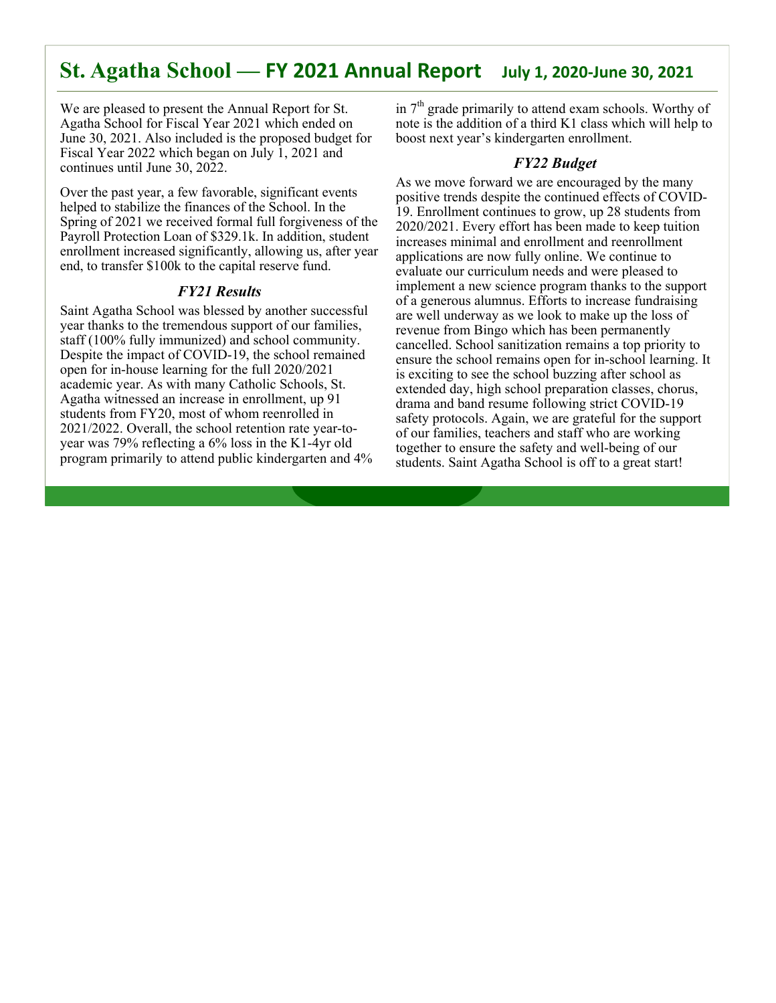# **St. Agatha School — FY 2021 Annual Report July 1, 2020-June 30, 2021**

We are pleased to present the Annual Report for St. Agatha School for Fiscal Year 2021 which ended on June 30, 2021. Also included is the proposed budget for Fiscal Year 2022 which began on July 1, 2021 and continues until June 30, 2022.

Over the past year, a few favorable, significant events helped to stabilize the finances of the School. In the Spring of 2021 we received formal full forgiveness of the Payroll Protection Loan of \$329.1k. In addition, student enrollment increased significantly, allowing us, after year end, to transfer \$100k to the capital reserve fund.

## *FY21 Results*

Saint Agatha School was blessed by another successful year thanks to the tremendous support of our families, staff (100% fully immunized) and school community. Despite the impact of COVID-19, the school remained open for in-house learning for the full 2020/2021 academic year. As with many Catholic Schools, St. Agatha witnessed an increase in enrollment, up 91 students from FY20, most of whom reenrolled in 2021/2022. Overall, the school retention rate year-toyear was 79% reflecting a 6% loss in the K1-4yr old program primarily to attend public kindergarten and 4% in  $7<sup>th</sup>$  grade primarily to attend exam schools. Worthy of note is the addition of a third K1 class which will help to boost next year's kindergarten enrollment.

## *FY22 Budget*

As we move forward we are encouraged by the many positive trends despite the continued effects of COVID-19. Enrollment continues to grow, up 28 students from 2020/2021. Every effort has been made to keep tuition increases minimal and enrollment and reenrollment applications are now fully online. We continue to evaluate our curriculum needs and were pleased to implement a new science program thanks to the support of a generous alumnus. Efforts to increase fundraising are well underway as we look to make up the loss of revenue from Bingo which has been permanently cancelled. School sanitization remains a top priority to ensure the school remains open for in-school learning. It is exciting to see the school buzzing after school as extended day, high school preparation classes, chorus, drama and band resume following strict COVID-19 safety protocols. Again, we are grateful for the support of our families, teachers and staff who are working together to ensure the safety and well-being of our students. Saint Agatha School is off to a great start!